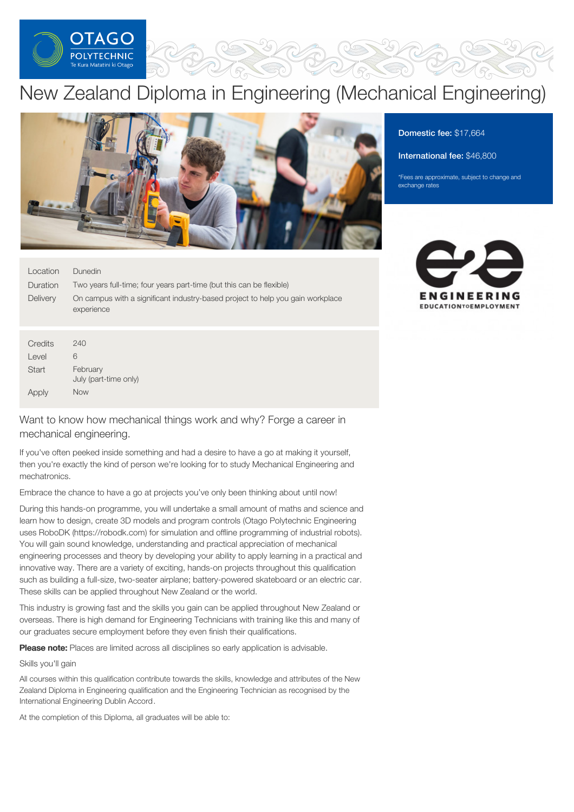

## New Zealand Diploma in Engineering (Mechanical Engineering)



#### Location **Duration Delivery** Dunedin Two years full-time; four years part-time (but this can be flexible) On campus with a significant industry-based project to help you gain workplace experience

| Credits | 240                               |
|---------|-----------------------------------|
| Level   | 6                                 |
| Start   | February<br>July (part-time only) |
| Apply   | Now                               |

Want to know how mechanical things work and why? Forge a career in mechanical engineering.

If you've often peeked inside something and had a desire to have a go at making it yourself, then you're exactly the kind of person we're looking for to study Mechanical Engineering and mechatronics.

Embrace the chance to have a go at projects you've only been thinking about until now!

During this hands-on programme, you will undertake a small amount of maths and science and learn how to design, create 3D models and program controls (Otago Polytechnic Engineering uses RoboDK (https://robodk.com) for simulation and offline programming of industrial robots). You will gain sound knowledge, understanding and practical appreciation of mechanical engineering processes and theory by developing your ability to apply learning in a practical and innovative way. There are a variety of exciting, hands-on projects throughout this qualification such as building a full-size, two-seater airplane; battery-powered skateboard or an electric car. These skills can be applied throughout New Zealand or the world.

This industry is growing fast and the skills you gain can be applied throughout New Zealand or overseas. There is high demand for Engineering Technicians with training like this and many of our graduates secure employment before they even finish their qualifications.

Please note: Places are limited across all disciplines so early application is advisable.

#### Skills you'll gain

All courses within this qualification contribute towards the skills, knowledge and attributes of the New Zealand Diploma in Engineering qualification and the Engineering Technician as recognised by the International Engineering Dublin Accord.

At the completion of this Diploma, all graduates will be able to:

### Domestic fee: \$17,664

#### International fee: \$46,800

\*Fees are approximate, subject to change and exchange rates

# FNGINFFRING **EDUCATIONTOEMPLOYMENT**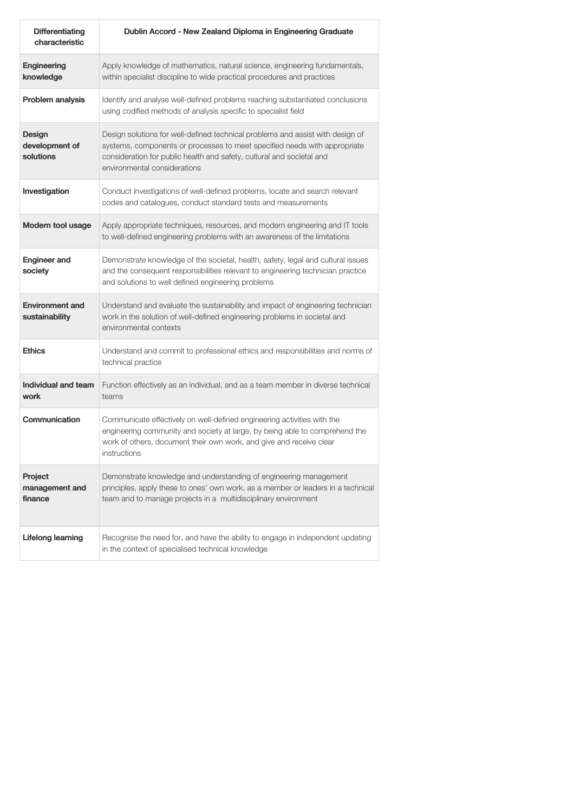| <b>Differentiating</b><br>characteristic     | Dublin Accord - New Zealand Diploma in Engineering Graduate                                                                                                                                                                                                          |  |
|----------------------------------------------|----------------------------------------------------------------------------------------------------------------------------------------------------------------------------------------------------------------------------------------------------------------------|--|
| <b>Engineering</b><br>knowledge              | Apply knowledge of mathematics, natural science, engineering fundamentals,<br>within specialist discipline to wide practical procedures and practices                                                                                                                |  |
| Problem analysis                             | Identify and analyse well-defined problems reaching substantiated conclusions<br>using codified methods of analysis specific to specialist field                                                                                                                     |  |
| <b>Design</b><br>development of<br>solutions | Design solutions for well-defined technical problems and assist with design of<br>systems, components or processes to meet specified needs with appropriate<br>consideration for public health and safety, cultural and societal and<br>environmental considerations |  |
| Investigation                                | Conduct investigations of well-defined problems, locate and search relevant<br>codes and catalogues, conduct standard tests and measurements                                                                                                                         |  |
| <b>Modern tool usage</b>                     | Apply appropriate techniques, resources, and modern engineering and IT tools<br>to well-defined engineering problems with an awareness of the limitations                                                                                                            |  |
| <b>Engineer and</b><br>society               | Demonstrate knowledge of the societal, health, safety, legal and cultural issues<br>and the consequent responsibilities relevant to engineering technician practice<br>and solutions to well defined engineering problems                                            |  |
| <b>Environment and</b><br>sustainability     | Understand and evaluate the sustainability and impact of engineering technician<br>work in the solution of well-defined engineering problems in societal and<br>environmental contexts                                                                               |  |
| <b>Ethics</b>                                | Understand and commit to professional ethics and responsibilities and norms of<br>technical practice                                                                                                                                                                 |  |
| <b>Individual and team</b><br>work           | Function effectively as an individual, and as a team member in diverse technical<br>teams                                                                                                                                                                            |  |
| Communication                                | Communicate effectively on well-defined engineering activities with the<br>engineering community and society at large, by being able to comprehend the<br>work of others, document their own work, and give and receive clear<br>instructions                        |  |
| Project<br>management and<br>finance         | Demonstrate knowledge and understanding of engineering management<br>principles, apply these to ones' own work, as a member or leaders in a technical<br>team and to manage projects in a multidisciplinary environment                                              |  |
| <b>Lifelong learning</b>                     | Recognise the need for, and have the ability to engage in independent updating<br>in the context of specialised technical knowledge                                                                                                                                  |  |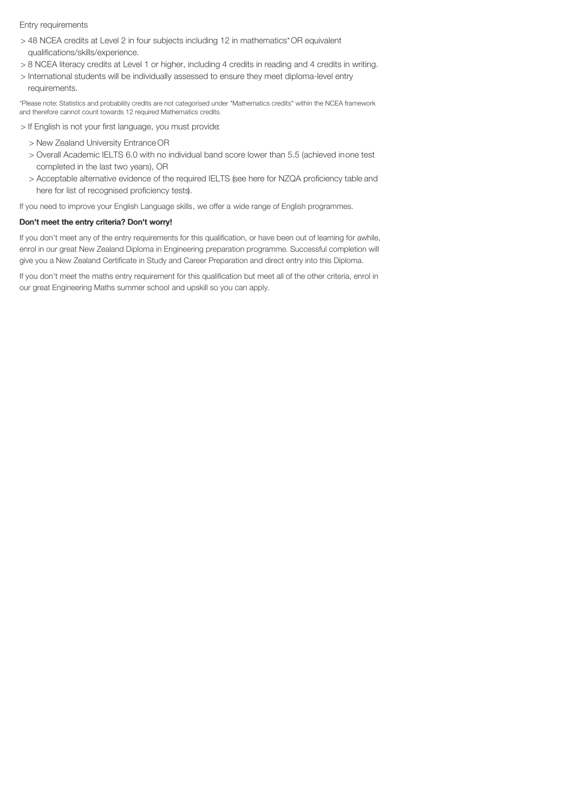#### Entry requirements

- > 48 NCEA credits at Level 2 in four subjects including 12 in mathematics\*OR equivalent qualifications/skills/experience.
- > 8 NCEA literacy credits at Level 1 or higher, including 4 credits in reading and 4 credits in writing.
- > International students will be individually assessed to ensure they meet diploma-level entry requirements.

\*Please note: Statistics and probability credits are not categorised under "Mathematics credits" within the NCEA framework and therefore cannot count towards 12 required Mathematics credits.

- > If English is not your first language, you must provide:
	- > New Zealand University Entrance OR
	- > Overall Academic IELTS 6.0 with no individual band score lower than 5.5 (achieved inone test completed in the last two years), OR
	- > Acceptable alternative evidence of the required IELTS (see here for NZQA proficiency table and here for list of recognised proficiency tests).

If you need to improve your English Language skills, we offer a wide range of English programmes.

#### Don't meet the entry criteria? Don't worry!

If you don't meet any of the entry requirements for this qualification, or have been out of learning for awhile, enrol in our great New Zealand Diploma in Engineering preparation programme. Successful completion will give you a New Zealand Certificate in Study and Career Preparation and direct entry into this Diploma.

If you don't meet the maths entry requirement for this qualification but meet all of the other criteria, enrol in our great Engineering Maths summer school and upskill so you can apply.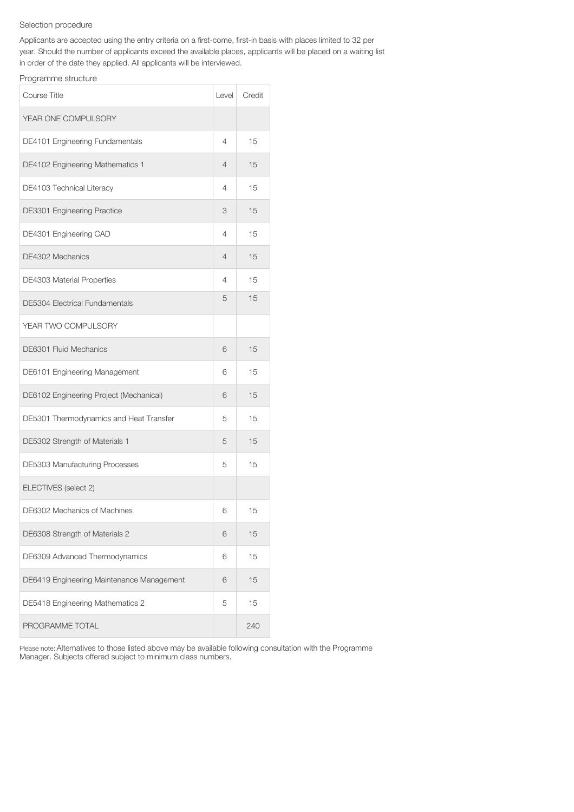#### Selection procedure

Applicants are accepted using the entry criteria on a first-come, first-in basis with places limited to 32 per year. Should the number of applicants exceed the available places, applicants will be placed on a waiting list in order of the date they applied. All applicants will be interviewed.

### Programme structure

| <b>Course Title</b>                       |   | Credit |
|-------------------------------------------|---|--------|
| YEAR ONE COMPULSORY                       |   |        |
| DE4101 Engineering Fundamentals           | 4 | 15     |
| DE4102 Engineering Mathematics 1          | 4 | 15     |
| DE4103 Technical Literacy                 | 4 | 15     |
| DE3301 Engineering Practice               | 3 | 15     |
| DE4301 Engineering CAD                    | 4 | 15     |
| DE4302 Mechanics                          | 4 | 15     |
| <b>DE4303 Material Properties</b>         | 4 | 15     |
| <b>DE5304 Electrical Fundamentals</b>     | 5 | 15     |
| YEAR TWO COMPULSORY                       |   |        |
| DE6301 Fluid Mechanics                    | 6 | 15     |
| DE6101 Engineering Management             | 6 | 15     |
| DE6102 Engineering Project (Mechanical)   | 6 | 15     |
| DE5301 Thermodynamics and Heat Transfer   | 5 | 15     |
| DE5302 Strength of Materials 1            | 5 | 15     |
| DE5303 Manufacturing Processes            | 5 | 15     |
| ELECTIVES (select 2)                      |   |        |
| DE6302 Mechanics of Machines              | 6 | 15     |
| DE6308 Strength of Materials 2            | 6 | 15     |
| DE6309 Advanced Thermodynamics            |   | 15     |
| DE6419 Engineering Maintenance Management |   | 15     |
| DE5418 Engineering Mathematics 2          |   | 15     |
| PROGRAMME TOTAL                           |   | 240    |

Please note: Alternatives to those listed above may be available following consultation with the Programme Manager. Subjects offered subject to minimum class numbers.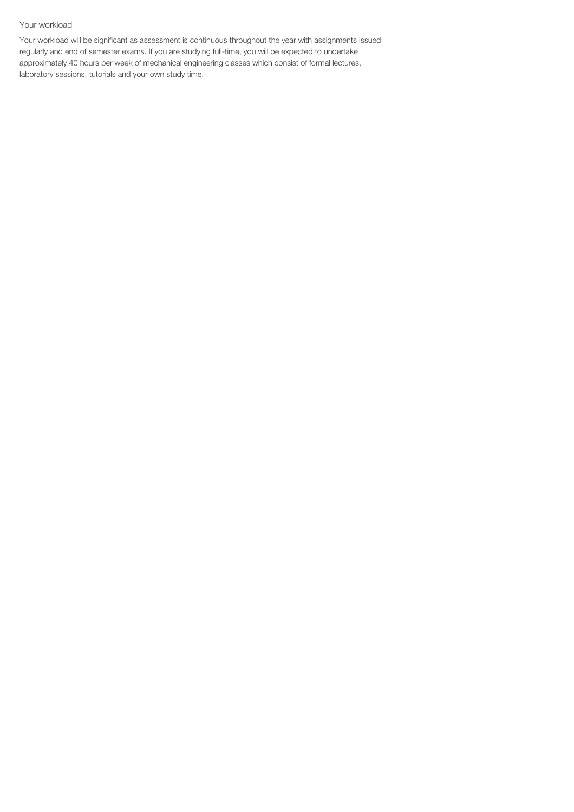#### Your workload

Your workload will be significant as assessment is continuous throughout the year with assignments issued regularly and end of semester exams. If you are studying full-time, you will be expected to undertake approximately 40 hours per week of mechanical engineering classes which consist of formal lectures, laboratory sessions, tutorials and your own study time.